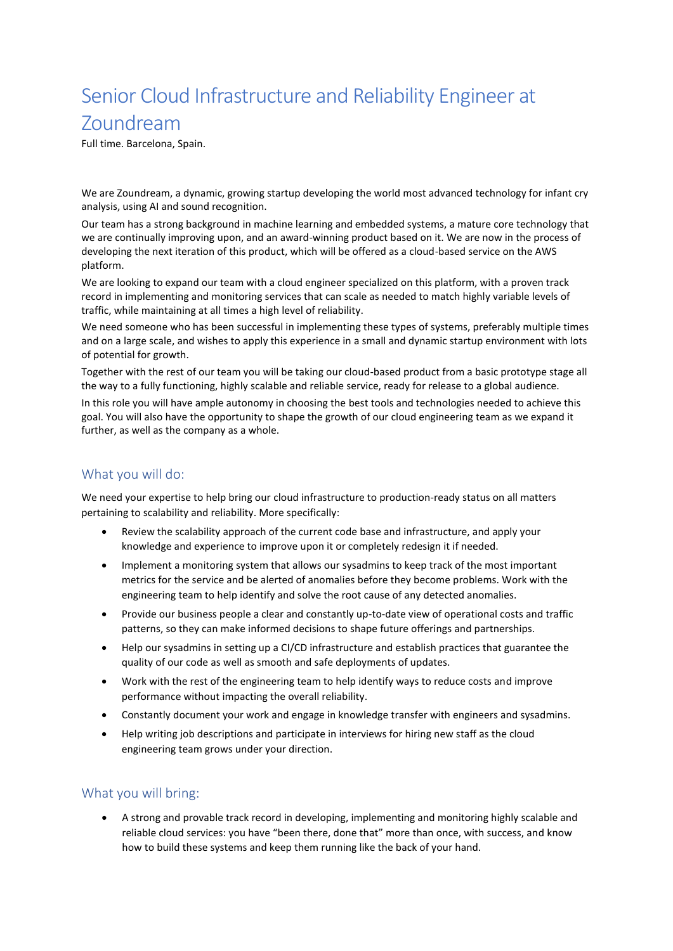# Senior Cloud Infrastructure and Reliability Engineer at Zoundream

Full time. Barcelona, Spain.

We are Zoundream, a dynamic, growing startup developing the world most advanced technology for infant cry analysis, using AI and sound recognition.

Our team has a strong background in machine learning and embedded systems, a mature core technology that we are continually improving upon, and an award-winning product based on it. We are now in the process of developing the next iteration of this product, which will be offered as a cloud-based service on the AWS platform.

We are looking to expand our team with a cloud engineer specialized on this platform, with a proven track record in implementing and monitoring services that can scale as needed to match highly variable levels of traffic, while maintaining at all times a high level of reliability.

We need someone who has been successful in implementing these types of systems, preferably multiple times and on a large scale, and wishes to apply this experience in a small and dynamic startup environment with lots of potential for growth.

Together with the rest of our team you will be taking our cloud-based product from a basic prototype stage all the way to a fully functioning, highly scalable and reliable service, ready for release to a global audience.

In this role you will have ample autonomy in choosing the best tools and technologies needed to achieve this goal. You will also have the opportunity to shape the growth of our cloud engineering team as we expand it further, as well as the company as a whole.

### What you will do:

We need your expertise to help bring our cloud infrastructure to production-ready status on all matters pertaining to scalability and reliability. More specifically:

- Review the scalability approach of the current code base and infrastructure, and apply your knowledge and experience to improve upon it or completely redesign it if needed.
- Implement a monitoring system that allows our sysadmins to keep track of the most important metrics for the service and be alerted of anomalies before they become problems. Work with the engineering team to help identify and solve the root cause of any detected anomalies.
- Provide our business people a clear and constantly up-to-date view of operational costs and traffic patterns, so they can make informed decisions to shape future offerings and partnerships.
- Help our sysadmins in setting up a CI/CD infrastructure and establish practices that guarantee the quality of our code as well as smooth and safe deployments of updates.
- Work with the rest of the engineering team to help identify ways to reduce costs and improve performance without impacting the overall reliability.
- Constantly document your work and engage in knowledge transfer with engineers and sysadmins.
- Help writing job descriptions and participate in interviews for hiring new staff as the cloud engineering team grows under your direction.

#### What you will bring:

• A strong and provable track record in developing, implementing and monitoring highly scalable and reliable cloud services: you have "been there, done that" more than once, with success, and know how to build these systems and keep them running like the back of your hand.